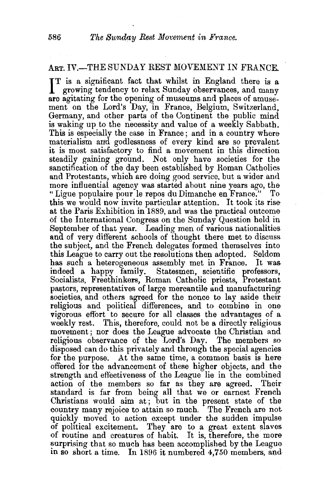## ART. IV.-THE SUNDAY REST MOVEMENT IN FRANCE.

IT is a significant fact that whilst in England there is a growing tendency to relax Sunday observances, and many growing tendency to relax Sunday observances, and many are agitating for the opening of museums and places of amusement on the Lord's Day, in France, Belgium, Switzerland. Germany, and other parts of the Continent the public mind is waking up to the necessity and value of a weekly Sabbath. This is especially the case in France; and in a country where materialism arrd godlessness of every kind are so prevalent it is most satisfactory to find a movement in this direction steadily gaining ground. Not only have societies for the sanctification of the day been established by Roman Catholics and Protestants, which are doing good service, but a wider and more influential agency was started about nine years ago, the "Ligue populaire pour le repos du Dimanche en France." To this we would now invite particular attention. It took its rise at the Paris Exhibition in 1889, and was the practical outcome 6£ the International Congress on the Sunday Question held in September of that year. Leading men of various nationalities and of very different schools of thought there met to discuss the subject, and the French delegates formed themselves into this League to carry out the resolutions then adopted. Seldom has such a heterogeneous assembly met in France. It was indeed a happy family. Statesmen, scientific professors, Socialists, Freethinkers, Roman Catholic priests, Protestant pastors, representatives of large mercantile and manufacturing societies, and others agreed for the nonce to lay aside their religious and political differences, and to combine in one vigorous eftort to secure for all classes the advantages of a weekly rest. This, therefore, could not be a directly religious movement; nor does the League advocate the Christian and religious observance of the Lord's Day. The members so disposed can do this privately and through the special agencies for the purpose. At the same time, a common basis is here offered for the advancement of these higher objects, and the strength and effectiveness of the League lie in the combined action of the members so far as they are agreed. Their action of the members so far as they are agreed. standard is far from being all that we or earnest French Christians would aim at; but in the present state of the country many rejoice to attain so much. The French are not quickly moved to action except under the sudden impulse of political excitement. They are to a great extent slaves of routine and creatures of habit. It is, therefore, the more surprising that so much has been accomplished by the League in ao short a time. In 1896 it numbered 4,750 members, and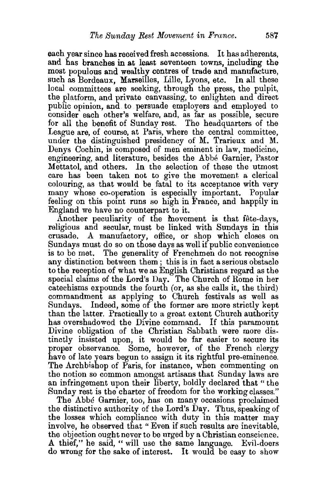each year since has received fresh accessions. It has adherents, and has branches in at least seventeen towns, including the most populous and wealthy centres of trade and manufacture, such as Bordeaux, Marseilles, Lille, Lyons, etc. In all these local committees are seeking, through the press, the pulpit, the platform, and private canvassing, to enlighten and direct public opinion, and to persuade employers and employed to consider each other's welfare, and, as far as possible, secure for all the benefit of Sunday rest. The headquarters of the League are, of course, at Paris, where the central committee, under the distinguished presidency of M. Trarieux and M. Denys Cochin, is composed of men eminent in law, medicine, engineering, and literature, besides the Abbe Garnier, Pastor Mettatol, and others. In the selection of these the utmost care has been taken not to give the movement a clerical colouring, as that would be fatal to its acceptance with very many whose co-operation is especially important. Popular feeling on this point runs so high in France, and happily in England we have no counterpart to it.

Another peculiarity of the movement is that fête-days, religious and secular, must be linked with Sundays in this crusade. A manufactory, office, or shop which closes on Sundays must do so on those days as well if public convenience is to be met. The generality of Frenchmen do not recognise any distinction between them; this is in fact a serious obstacle to the reception of what we as English Christians regard as the special claims of the Lord's Day. The Church of Rome in her catechisms expounds the fourth (or, as she calls it, the third) commandment as applying to Church festivals as well as Sundays. Indeed, some of the former are more strictly kept than the latter. Practically to a great extent Church authority has overshadowed the Divine command. If this paramount Divine obligation of the Christian Sabbath were more distinctly insisted upon, it would be far easier to secure its proper observance. Some, however, of the French clergy have of late years begun to assign it its rightful pre-eminence. The Archbishop of Paris, for instance, when commenting on the notion so common amongst artisans that Sunday laws are an infringement upon their liberty, boldly declared that " the Sunday rest is the charter of freedom for the working classes."

The Abbe Garnier, too, has on many occasions proclaimed the distinctive authority of the Lord's Day. Thus, speaking of the losses which compliance with duty in this matter may involve, he observed that " Even if such results are inevitable, the objection ought never to be urged by a Christian conscience. A thief," he said, "will use the same language. Evil-doers do wrong for the sake of interest. It would be easy to show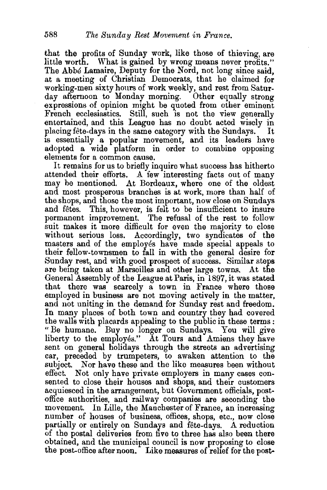that the profits of Sunday work, like those of thieving, are little worth. What is gained by wrong means never profits." The Abbe Lamaire, Deputy for the Nord, not long since said, at a meeting of Christian Democrats, that he claimed for working-men sixty hours of work weekly, and rest from Saturday afternoon to Monday morning. Other equally strong expressions of opinion might be quoted from other eminent French ecclesiastics. Still, such is not the view generally entertained, and this League has no doubt acted wisely in placing fête-days in the same category with the Sundays. It placing fête-days in the same category with the Sundays. is essentially a popular movement, and its leaders have adopted a wide platform in order to combine opposing elements for a common cause.

It remains for us to briefly inquire what success has hitherto attended their efforts. A few interesting facts out of many may he mentioned. At Bordeaux, where one of the oldest and most prosperous branches is at work, more than half of the shops, and those the most important, now close on Sundays and fetes. This, however, is felt to be insufficient to insure permanent improvement. The refusal of the rest to follow suit makes it more difficult for even the majority to close without serious loss. Accordingly, two syndicates of the masters and of the employes have made special appeals to their fellow-townsmen to fall in with the general desire for Sunday rest, and with good prospect of success. Similar steps are being taken at Marseilles and other large towns. At the General Assembly of the League at Paris, in 1897, it was stated that there was scarcely a town in France where those employed in business are not moving actively in the matter, and not uniting in the demand for Sunday rest and freedom. In many places of both town and country they had covered the walls with placards appealing to the public in these terms : " Be humane. Buy no longer on Sundays. You will give liberty to the employes." At Tours and Amiens they have sent on general holidays through the streets an advertising car, preceded by trumpeters, to awaken attention to the subject. Nor have these and the like measures been without effect. Not only have private employers in many cases consented to close their houses and shops, and their customers acquiesced in the arrangement, but Government officials, postoffice authorities, and railway companies are seconding the movement. In Lille, the Manchester of France, an increasing number of houses of business, offices, shops, etc., now close partially or entirely on Sundays and fete-days. A reduction of the postal deliveries from five to three has also been there obtained, and the municipal council is now proposing to close the post-office after noon. Like measures of relief for the post-